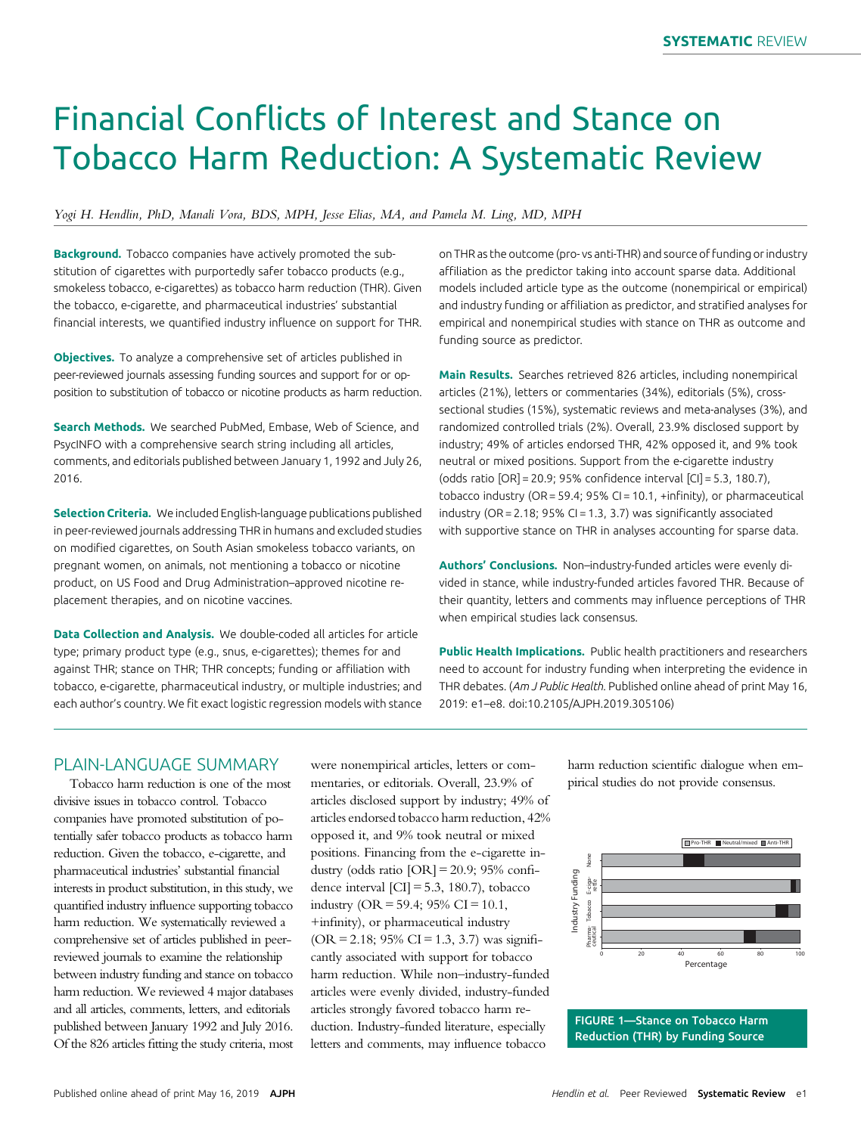# Financial Conflicts of Interest and Stance on Tobacco Harm Reduction: A Systematic Review

#### Yogi H. Hendlin, PhD, Manali Vora, BDS, MPH, Jesse Elias, MA, and Pamela M. Ling, MD, MPH

Background. Tobacco companies have actively promoted the substitution of cigarettes with purportedly safer tobacco products (e.g., smokeless tobacco, e-cigarettes) as tobacco harm reduction (THR). Given the tobacco, e-cigarette, and pharmaceutical industries' substantial financial interests, we quantified industry influence on support for THR.

**Objectives.** To analyze a comprehensive set of articles published in peer-reviewed journals assessing funding sources and support for or opposition to substitution of tobacco or nicotine products as harm reduction.

Search Methods. We searched PubMed, Embase, Web of Science, and PsycINFO with a comprehensive search string including all articles, comments, and editorials published between January 1, 1992 and July 26, 2016.

Selection Criteria. We included English-language publications published in peer-reviewed journals addressing THR in humans and excluded studies on modified cigarettes, on South Asian smokeless tobacco variants, on pregnant women, on animals, not mentioning a tobacco or nicotine product, on US Food and Drug Administration–approved nicotine replacement therapies, and on nicotine vaccines.

Data Collection and Analysis. We double-coded all articles for article type; primary product type (e.g., snus, e-cigarettes); themes for and against THR; stance on THR; THR concepts; funding or affiliation with tobacco, e-cigarette, pharmaceutical industry, or multiple industries; and each author's country. We fit exact logistic regression models with stance

on THR as the outcome (pro- vs anti-THR) and source of funding or industry affiliation as the predictor taking into account sparse data. Additional models included article type as the outcome (nonempirical or empirical) and industry funding or affiliation as predictor, and stratified analyses for empirical and nonempirical studies with stance on THR as outcome and funding source as predictor.

Main Results. Searches retrieved 826 articles, including nonempirical articles (21%), letters or commentaries (34%), editorials (5%), crosssectional studies (15%), systematic reviews and meta-analyses (3%), and randomized controlled trials (2%). Overall, 23.9% disclosed support by industry; 49% of articles endorsed THR, 42% opposed it, and 9% took neutral or mixed positions. Support from the e-cigarette industry (odds ratio [OR] = 20.9; 95% confidence interval [CI] = 5.3, 180.7), tobacco industry (OR = 59.4; 95% CI = 10.1, +infinity), or pharmaceutical industry (OR = 2.18;  $95\%$  CI = 1.3, 3.7) was significantly associated with supportive stance on THR in analyses accounting for sparse data.

Authors' Conclusions. Non-industry-funded articles were evenly divided in stance, while industry-funded articles favored THR. Because of their quantity, letters and comments may influence perceptions of THR when empirical studies lack consensus.

Public Health Implications. Public health practitioners and researchers need to account for industry funding when interpreting the evidence in THR debates. (Am J Public Health. Published online ahead of print May 16, 2019: e1–e8. doi:10.2105/AJPH.2019.305106)

# PLAIN-LANGUAGE SUMMARY

Tobacco harm reduction is one of the most divisive issues in tobacco control. Tobacco companies have promoted substitution of potentially safer tobacco products as tobacco harm reduction. Given the tobacco, e-cigarette, and pharmaceutical industries' substantial financial interests in product substitution, in this study, we quantified industry influence supporting tobacco harm reduction. We systematically reviewed a comprehensive set of articles published in peerreviewed journals to examine the relationship between industry funding and stance on tobacco harm reduction. We reviewed 4 major databases and all articles, comments, letters, and editorials published between January 1992 and July 2016. Of the 826 articles fitting the study criteria, most were nonempirical articles, letters or commentaries, or editorials. Overall, 23.9% of articles disclosed support by industry; 49% of articles endorsed tobacco harm reduction, 42% opposed it, and 9% took neutral or mixed positions. Financing from the e-cigarette industry (odds ratio  $[OR] = 20.9$ ; 95% confidence interval  $\left[CI\right] = 5.3, 180.7$ , tobacco industry (OR = 59.4; 95% CI = 10.1, +infinity), or pharmaceutical industry  $(OR = 2.18; 95\% CI = 1.3, 3.7)$  was significantly associated with support for tobacco harm reduction. While non–industry-funded articles were evenly divided, industry-funded articles strongly favored tobacco harm reduction. Industry-funded literature, especially letters and comments, may influence tobacco

harm reduction scientific dialogue when empirical studies do not provide consensus.



FIGURE 1—Stance on Tobacco Harm Reduction (THR) by Funding Source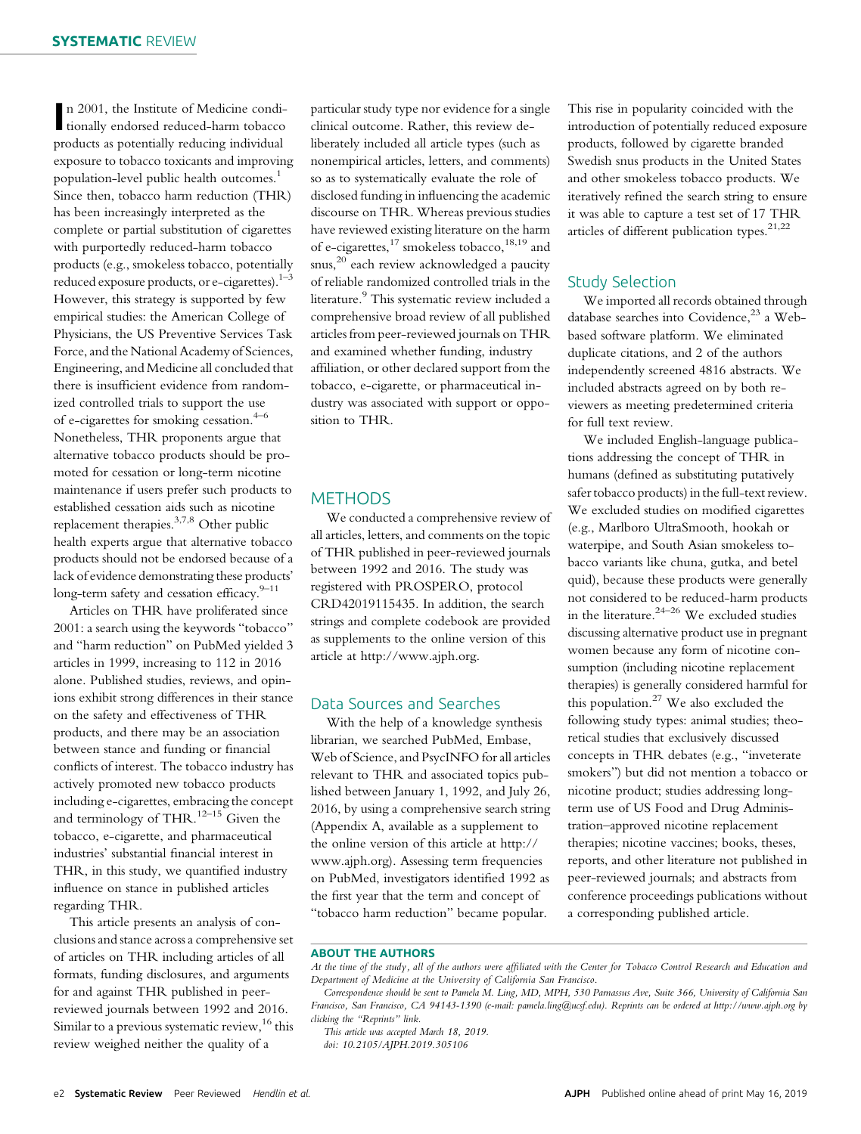n 2001, the Institute of Medicine conditionally endorsed reduced-harm tobacco n 2001, the Institute of Medicine condiproducts as potentially reducing individual exposure to tobacco toxicants and improving population-level public health outcomes.<sup>1</sup> Since then, tobacco harm reduction (THR) has been increasingly interpreted as the complete or partial substitution of cigarettes with purportedly reduced-harm tobacco products (e.g., smokeless tobacco, potentially reduced exposure products, or e-cigarettes). $1^{-3}$ However, this strategy is supported by few empirical studies: the American College of Physicians, the US Preventive Services Task Force, and the National Academy of Sciences, Engineering, and Medicine all concluded that there is insufficient evidence from randomized controlled trials to support the use of e-cigarettes for smoking cessation. $4-6$ Nonetheless, THR proponents argue that alternative tobacco products should be promoted for cessation or long-term nicotine maintenance if users prefer such products to established cessation aids such as nicotine replacement therapies.3,7,8 Other public health experts argue that alternative tobacco products should not be endorsed because of a lack of evidence demonstrating these products' long-term safety and cessation efficacy. $9-11$ 

Articles on THR have proliferated since 2001: a search using the keywords "tobacco" and "harm reduction" on PubMed yielded 3 articles in 1999, increasing to 112 in 2016 alone. Published studies, reviews, and opinions exhibit strong differences in their stance on the safety and effectiveness of THR products, and there may be an association between stance and funding or financial conflicts of interest. The tobacco industry has actively promoted new tobacco products including e-cigarettes, embracing the concept and terminology of THR. $^{12-15}$  Given the tobacco, e-cigarette, and pharmaceutical industries' substantial financial interest in THR, in this study, we quantified industry influence on stance in published articles regarding THR.

This article presents an analysis of conclusions and stance across a comprehensive set of articles on THR including articles of all formats, funding disclosures, and arguments for and against THR published in peerreviewed journals between 1992 and 2016. Similar to a previous systematic review,<sup>16</sup> this review weighed neither the quality of a

particular study type nor evidence for a single clinical outcome. Rather, this review deliberately included all article types (such as nonempirical articles, letters, and comments) so as to systematically evaluate the role of disclosed funding in influencing the academic discourse on THR. Whereas previous studies have reviewed existing literature on the harm of e-cigarettes,<sup>17</sup> smokeless tobacco,<sup>18,19</sup> and snus,<sup>20</sup> each review acknowledged a paucity of reliable randomized controlled trials in the literature.<sup>9</sup> This systematic review included a comprehensive broad review of all published articles from peer-reviewed journals on THR and examined whether funding, industry affiliation, or other declared support from the tobacco, e-cigarette, or pharmaceutical industry was associated with support or opposition to THR.

## **METHODS**

We conducted a comprehensive review of all articles, letters, and comments on the topic of THR published in peer-reviewed journals between 1992 and 2016. The study was registered with PROSPERO, protocol CRD42019115435. In addition, the search strings and complete codebook are provided as supplements to the online version of this article at [http://www.ajph.org.](http://www.ajph.org)

## Data Sources and Searches

With the help of a knowledge synthesis librarian, we searched PubMed, Embase, Web of Science, and PsycINFO for all articles relevant to THR and associated topics published between January 1, 1992, and July 26, 2016, by using a comprehensive search string (Appendix A, available as a supplement to the online version of this article at [http://](http://www.ajph.org) [www.ajph.org](http://www.ajph.org)). Assessing term frequencies on PubMed, investigators identified 1992 as the first year that the term and concept of "tobacco harm reduction" became popular.

This rise in popularity coincided with the introduction of potentially reduced exposure products, followed by cigarette branded Swedish snus products in the United States and other smokeless tobacco products. We iteratively refined the search string to ensure it was able to capture a test set of 17 THR articles of different publication types. $21,22$ 

# Study Selection

We imported all records obtained through database searches into Covidence,<sup>23</sup> a Webbased software platform. We eliminated duplicate citations, and 2 of the authors independently screened 4816 abstracts. We included abstracts agreed on by both reviewers as meeting predetermined criteria for full text review.

We included English-language publications addressing the concept of THR in humans (defined as substituting putatively safer tobacco products) in the full-text review. We excluded studies on modified cigarettes (e.g., Marlboro UltraSmooth, hookah or waterpipe, and South Asian smokeless tobacco variants like chuna, gutka, and betel quid), because these products were generally not considered to be reduced-harm products in the literature.<sup>24–26</sup> We excluded studies discussing alternative product use in pregnant women because any form of nicotine consumption (including nicotine replacement therapies) is generally considered harmful for this population. $27$  We also excluded the following study types: animal studies; theoretical studies that exclusively discussed concepts in THR debates (e.g., "inveterate smokers") but did not mention a tobacco or nicotine product; studies addressing longterm use of US Food and Drug Administration–approved nicotine replacement therapies; nicotine vaccines; books, theses, reports, and other literature not published in peer-reviewed journals; and abstracts from conference proceedings publications without a corresponding published article.

#### ABOUT THE AUTHORS

Correspondence should be sent to Pamela M. Ling, MD, MPH, 530 Parnassus Ave, Suite 366, University of California San Francisco, San Francisco, CA 94143-1390 (e-mail: [pamela.ling@ucsf.edu\)](mailto:pamela.ling@ucsf.edu). Reprints can be ordered at<http://www.ajph.org> by clicking the "Reprints" link.

This article was accepted March 18, 2019.

doi: 10.2105/AJPH.2019.305106

At the time of the study, all of the authors were affiliated with the Center for Tobacco Control Research and Education and Department of Medicine at the University of California San Francisco.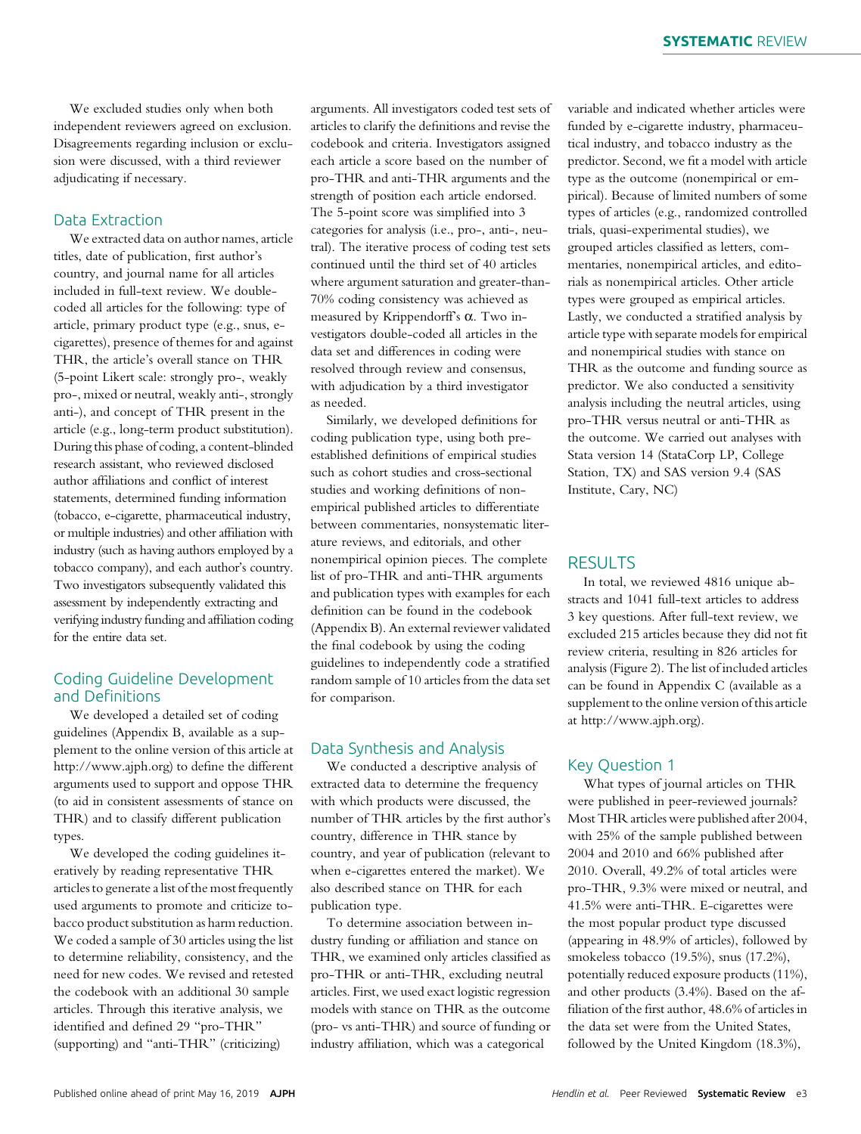We excluded studies only when both independent reviewers agreed on exclusion. Disagreements regarding inclusion or exclusion were discussed, with a third reviewer adjudicating if necessary.

## Data Extraction

We extracted data on author names, article titles, date of publication, first author's country, and journal name for all articles included in full-text review. We doublecoded all articles for the following: type of article, primary product type (e.g., snus, ecigarettes), presence of themes for and against THR, the article's overall stance on THR (5-point Likert scale: strongly pro-, weakly pro-, mixed or neutral, weakly anti-, strongly anti-), and concept of THR present in the article (e.g., long-term product substitution). During this phase of coding, a content-blinded research assistant, who reviewed disclosed author affiliations and conflict of interest statements, determined funding information (tobacco, e-cigarette, pharmaceutical industry, or multiple industries) and other affiliation with industry (such as having authors employed by a tobacco company), and each author's country. Two investigators subsequently validated this assessment by independently extracting and verifying industry funding and affiliation coding for the entire data set.

# Coding Guideline Development and Definitions

We developed a detailed set of coding guidelines (Appendix B, available as a supplement to the online version of this article at [http://www.ajph.org\)](http://www.ajph.org) to define the different arguments used to support and oppose THR (to aid in consistent assessments of stance on THR) and to classify different publication types.

We developed the coding guidelines iteratively by reading representative THR articles to generate a list of the most frequently used arguments to promote and criticize tobacco product substitution as harm reduction. We coded a sample of 30 articles using the list to determine reliability, consistency, and the need for new codes. We revised and retested the codebook with an additional 30 sample articles. Through this iterative analysis, we identified and defined 29 "pro-THR" (supporting) and "anti-THR" (criticizing)

arguments. All investigators coded test sets of articles to clarify the definitions and revise the codebook and criteria. Investigators assigned each article a score based on the number of pro-THR and anti-THR arguments and the strength of position each article endorsed. The 5-point score was simplified into 3 categories for analysis (i.e., pro-, anti-, neutral). The iterative process of coding test sets continued until the third set of 40 articles where argument saturation and greater-than-70% coding consistency was achieved as measured by Krippendorff's  $\alpha$ . Two investigators double-coded all articles in the data set and differences in coding were resolved through review and consensus, with adjudication by a third investigator as needed.

Similarly, we developed definitions for coding publication type, using both preestablished definitions of empirical studies such as cohort studies and cross-sectional studies and working definitions of nonempirical published articles to differentiate between commentaries, nonsystematic literature reviews, and editorials, and other nonempirical opinion pieces. The complete list of pro-THR and anti-THR arguments and publication types with examples for each definition can be found in the codebook (Appendix B). An external reviewer validated the final codebook by using the coding guidelines to independently code a stratified random sample of 10 articles from the data set for comparison.

## Data Synthesis and Analysis

We conducted a descriptive analysis of extracted data to determine the frequency with which products were discussed, the number of THR articles by the first author's country, difference in THR stance by country, and year of publication (relevant to when e-cigarettes entered the market). We also described stance on THR for each publication type.

To determine association between industry funding or affiliation and stance on THR, we examined only articles classified as pro-THR or anti-THR, excluding neutral articles. First, we used exact logistic regression models with stance on THR as the outcome (pro- vs anti-THR) and source of funding or industry affiliation, which was a categorical

variable and indicated whether articles were funded by e-cigarette industry, pharmaceutical industry, and tobacco industry as the predictor. Second, we fit a model with article type as the outcome (nonempirical or empirical). Because of limited numbers of some types of articles (e.g., randomized controlled trials, quasi-experimental studies), we grouped articles classified as letters, commentaries, nonempirical articles, and editorials as nonempirical articles. Other article types were grouped as empirical articles. Lastly, we conducted a stratified analysis by article type with separate models for empirical and nonempirical studies with stance on THR as the outcome and funding source as predictor. We also conducted a sensitivity analysis including the neutral articles, using pro-THR versus neutral or anti-THR as the outcome. We carried out analyses with Stata version 14 (StataCorp LP, College Station, TX) and SAS version 9.4 (SAS Institute, Cary, NC)

## RESULTS

In total, we reviewed 4816 unique abstracts and 1041 full-text articles to address 3 key questions. After full-text review, we excluded 215 articles because they did not fit review criteria, resulting in 826 articles for analysis (Figure 2). The list of included articles can be found in Appendix C (available as a supplement to the online version of this article at [http://www.ajph.org\)](http://www.ajph.org).

#### Key Question 1

What types of journal articles on THR were published in peer-reviewed journals? Most THR articles were published after 2004, with 25% of the sample published between 2004 and 2010 and 66% published after 2010. Overall, 49.2% of total articles were pro-THR, 9.3% were mixed or neutral, and 41.5% were anti-THR. E-cigarettes were the most popular product type discussed (appearing in 48.9% of articles), followed by smokeless tobacco (19.5%), snus (17.2%), potentially reduced exposure products (11%), and other products (3.4%). Based on the affiliation of the first author, 48.6% of articles in the data set were from the United States, followed by the United Kingdom (18.3%),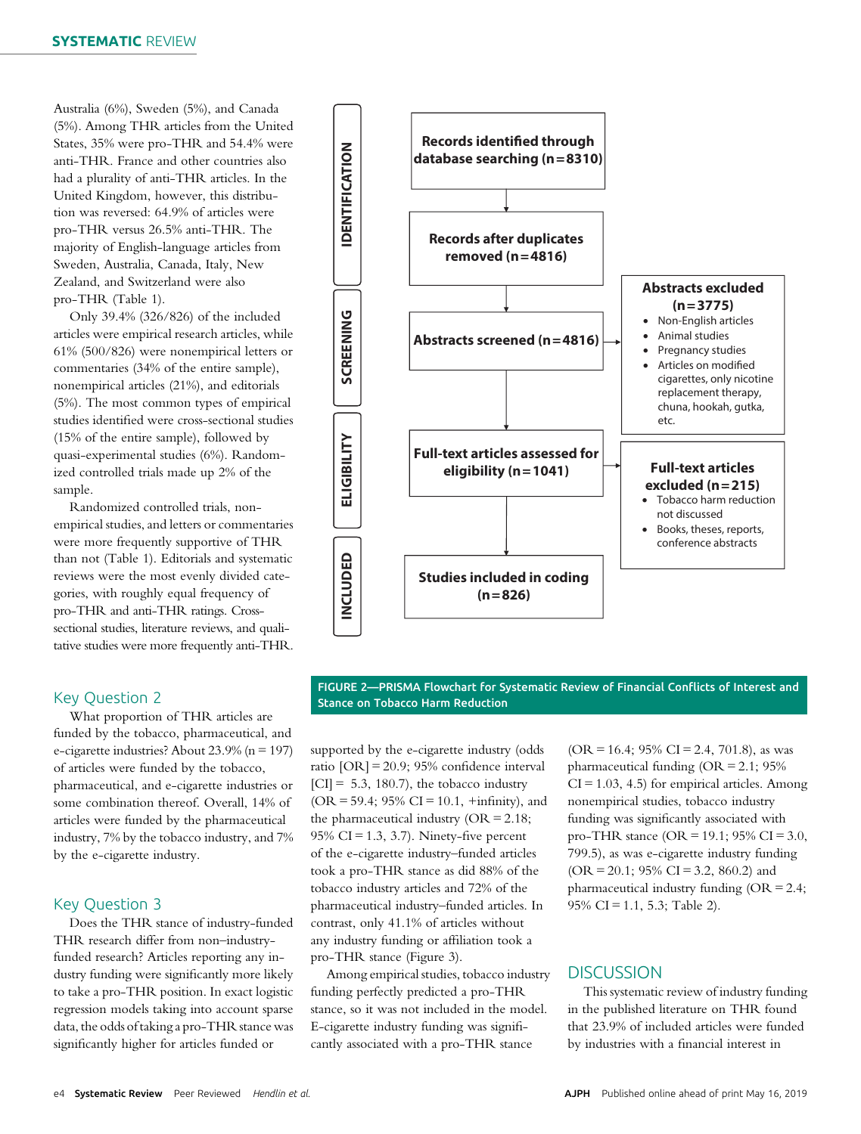Australia (6%), Sweden (5%), and Canada (5%). Among THR articles from the United States, 35% were pro-THR and 54.4% were anti-THR. France and other countries also had a plurality of anti-THR articles. In the United Kingdom, however, this distribution was reversed: 64.9% of articles were pro-THR versus 26.5% anti-THR. The majority of English-language articles from Sweden, Australia, Canada, Italy, New Zealand, and Switzerland were also pro-THR (Table 1).

Only 39.4% (326/826) of the included articles were empirical research articles, while 61% (500/826) were nonempirical letters or commentaries (34% of the entire sample), nonempirical articles (21%), and editorials (5%). The most common types of empirical studies identified were cross-sectional studies (15% of the entire sample), followed by quasi-experimental studies (6%). Randomized controlled trials made up 2% of the sample.

Randomized controlled trials, nonempirical studies, and letters or commentaries were more frequently supportive of THR than not (Table 1). Editorials and systematic reviews were the most evenly divided categories, with roughly equal frequency of pro-THR and anti-THR ratings. Crosssectional studies, literature reviews, and qualitative studies were more frequently anti-THR.

# Key Question 2

What proportion of THR articles are funded by the tobacco, pharmaceutical, and e-cigarette industries? About 23.9% (n = 197) of articles were funded by the tobacco, pharmaceutical, and e-cigarette industries or some combination thereof. Overall, 14% of articles were funded by the pharmaceutical industry, 7% by the tobacco industry, and 7% by the e-cigarette industry.

# Key Question 3

Does the THR stance of industry-funded THR research differ from non–industryfunded research? Articles reporting any industry funding were significantly more likely to take a pro-THR position. In exact logistic regression models taking into account sparse data, the odds of taking a pro-THR stance was significantly higher for articles funded or



FIGURE 2—PRISMA Flowchart for Systematic Review of Financial Conflicts of Interest and Stance on Tobacco Harm Reduction

supported by the e-cigarette industry (odds ratio [OR] = 20.9; 95% confidence interval  $|CI| = 5.3, 180.7$ , the tobacco industry  $(OR = 59.4; 95\% CI = 10.1, +infinity)$ , and the pharmaceutical industry (OR = 2.18; 95% CI = 1.3, 3.7). Ninety-five percent of the e-cigarette industry–funded articles took a pro-THR stance as did 88% of the tobacco industry articles and 72% of the pharmaceutical industry–funded articles. In contrast, only 41.1% of articles without any industry funding or affiliation took a pro-THR stance (Figure 3).

Among empirical studies, tobacco industry funding perfectly predicted a pro-THR stance, so it was not included in the model. E-cigarette industry funding was significantly associated with a pro-THR stance

 $(OR = 16.4; 95\% CI = 2.4, 701.8)$ , as was pharmaceutical funding  $(OR = 2.1; 95\%)$  $CI = 1.03, 4.5$ ) for empirical articles. Among nonempirical studies, tobacco industry funding was significantly associated with pro-THR stance (OR = 19.1; 95% CI = 3.0, 799.5), as was e-cigarette industry funding  $(OR = 20.1; 95\% CI = 3.2, 860.2)$  and pharmaceutical industry funding (OR = 2.4; 95% CI = 1.1, 5.3; Table 2).

# **DISCUSSION**

This systematic review of industry funding in the published literature on THR found that 23.9% of included articles were funded by industries with a financial interest in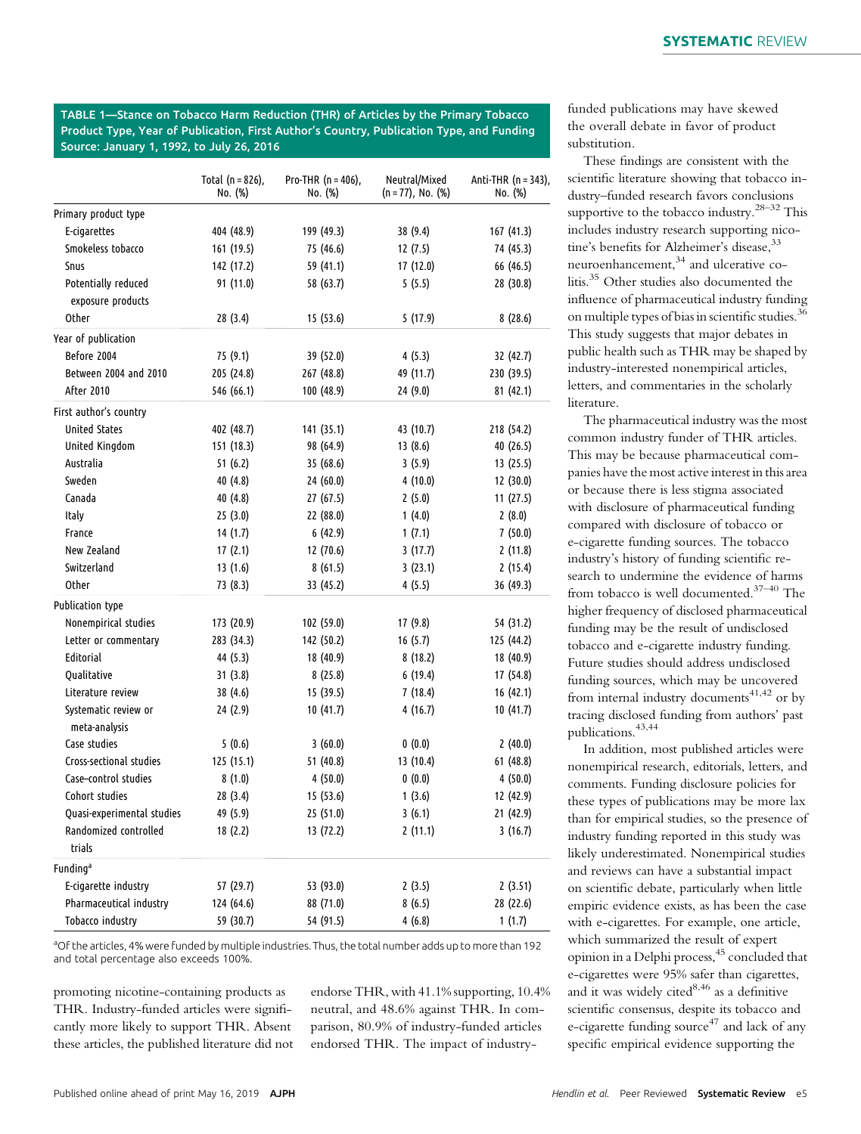TABLE 1—Stance on Tobacco Harm Reduction (THR) of Articles by the Primary Tobacco Product Type, Year of Publication, First Author's Country, Publication Type, and Funding Source: January 1, 1992, to July 26, 2016

|                                          | Total ( $n = 826$ ),<br>No. (%) | Pro-THR $(n = 406)$ ,<br>No. (%) | Neutral/Mixed<br>(n = 77), No. (%) | Anti-THR (n = 343),<br>No. (%) |
|------------------------------------------|---------------------------------|----------------------------------|------------------------------------|--------------------------------|
| Primary product type                     |                                 |                                  |                                    |                                |
| E-cigarettes                             | 404 (48.9)                      | 199 (49.3)                       | 38 (9.4)                           | 167 (41.3)                     |
| Smokeless tobacco                        | 161 (19.5)                      | 75 (46.6)                        | 12 (7.5)                           | 74 (45.3)                      |
| Snus                                     | 142 (17.2)                      | 59 (41.1)                        | 17 (12.0)                          | 66 (46.5)                      |
| Potentially reduced<br>exposure products | 91 (11.0)                       | 58 (63.7)                        | 5(5.5)                             | 28 (30.8)                      |
| Other                                    | 28(3.4)                         | 15(53.6)                         | 5(17.9)                            | 8(28.6)                        |
| Year of publication                      |                                 |                                  |                                    |                                |
| Before 2004                              | 75 (9.1)                        | 39 (52.0)                        | 4(5.3)                             | 32 (42.7)                      |
| Between 2004 and 2010                    | 205 (24.8)                      | 267 (48.8)                       | 49 (11.7)                          | 230 (39.5)                     |
| After 2010                               | 546 (66.1)                      | 100 (48.9)                       | 24(9.0)                            | 81 (42.1)                      |
| First author's country                   |                                 |                                  |                                    |                                |
| <b>United States</b>                     | 402 (48.7)                      | 141 (35.1)                       | 43 (10.7)                          | 218 (54.2)                     |
| United Kingdom                           | 151 (18.3)                      | 98 (64.9)                        | 13(8.6)                            | 40 (26.5)                      |
| Australia                                | 51(6.2)                         | 35 (68.6)                        | 3(5.9)                             | 13 (25.5)                      |
| Sweden                                   | 40 (4.8)                        | 24(60.0)                         | 4(10.0)                            | 12(30.0)                       |
| Canada                                   | 40 (4.8)                        | 27 (67.5)                        | 2(5.0)                             | 11 (27.5)                      |
| Italy                                    | 25(3.0)                         | 22 (88.0)                        | 1(4.0)                             | 2(8.0)                         |
| France                                   | 14 (1.7)                        | 6(42.9)                          | 1(7.1)                             | 7(50.0)                        |
| New Zealand                              | 17(2.1)                         | 12 (70.6)                        | 3(17.7)                            | 2(11.8)                        |
| Switzerland                              | 13(1.6)                         | 8(61.5)                          | 3(23.1)                            | 2(15.4)                        |
| Other                                    | 73 (8.3)                        | 33 (45.2)                        | 4(5.5)                             | 36 (49.3)                      |
| Publication type                         |                                 |                                  |                                    |                                |
| Nonempirical studies                     | 173 (20.9)                      | 102 (59.0)                       | 17 (9.8)                           | 54 (31.2)                      |
| Letter or commentary                     | 283 (34.3)                      | 142 (50.2)                       | 16(5.7)                            | 125 (44.2)                     |
| Editorial                                | 44 (5.3)                        | 18 (40.9)                        | 8(18.2)                            | 18 (40.9)                      |
| Qualitative                              | 31(3.8)                         | 8(25.8)                          | 6(19.4)                            | 17 (54.8)                      |
| Literature review                        | 38 (4.6)                        | 15 (39.5)                        | 7(18.4)                            | 16 (42.1)                      |
| Systematic review or<br>meta-analysis    | 24 (2.9)                        | 10 (41.7)                        | 4(16.7)                            | 10 (41.7)                      |
| Case studies                             | 5(0.6)                          | 3(60.0)                          | 0(0.0)                             | 2(40.0)                        |
| Cross-sectional studies                  | 125 (15.1)                      | 51 (40.8)                        | 13 (10.4)                          | 61 (48.8)                      |
| Case-control studies                     | 8(1.0)                          | 4(50.0)                          | 0(0.0)                             | 4(50.0)                        |
| Cohort studies                           | 28 (3.4)                        | 15 (53.6)                        | 1(3.6)                             | 12 (42.9)                      |
| Quasi-experimental studies               | 49 (5.9)                        | 25 (51.0)                        | 3(6.1)                             | 21 (42.9)                      |
| Randomized controlled<br>trials          | 18 (2.2)                        | 13 (72.2)                        | 2(11.1)                            | 3(16.7)                        |
| Funding <sup>a</sup>                     |                                 |                                  |                                    |                                |
| E-cigarette industry                     | 57 (29.7)                       | 53 (93.0)                        | 2(3.5)                             | 2(3.51)                        |
| Pharmaceutical industry                  | 124 (64.6)                      | 88 (71.0)                        | 8(6.5)                             | 28 (22.6)                      |
| Tobacco industry                         | 59 (30.7)                       | 54 (91.5)                        | 4(6.8)                             | 1(1.7)                         |

<sup>a</sup>Of the articles, 4% were funded by multiple industries. Thus, the total number adds up to more than 192 and total percentage also exceeds 100%.

promoting nicotine-containing products as THR. Industry-funded articles were significantly more likely to support THR. Absent these articles, the published literature did not endorse THR, with 41.1% supporting, 10.4% neutral, and 48.6% against THR. In comparison, 80.9% of industry-funded articles endorsed THR. The impact of industry-

funded publications may have skewed the overall debate in favor of product substitution.

These findings are consistent with the scientific literature showing that tobacco industry–funded research favors conclusions supportive to the tobacco industry.<sup>28–32</sup> This includes industry research supporting nicotine's benefits for Alzheimer's disease,<sup>33</sup> neuroenhancement,<sup>34</sup> and ulcerative colitis.<sup>35</sup> Other studies also documented the influence of pharmaceutical industry funding on multiple types of bias in scientific studies.<sup>36</sup> This study suggests that major debates in public health such as THR may be shaped by industry-interested nonempirical articles, letters, and commentaries in the scholarly literature.

The pharmaceutical industry was the most common industry funder of THR articles. This may be because pharmaceutical companies have the most active interest in this area or because there is less stigma associated with disclosure of pharmaceutical funding compared with disclosure of tobacco or e-cigarette funding sources. The tobacco industry's history of funding scientific research to undermine the evidence of harms from tobacco is well documented.37–<sup>40</sup> The higher frequency of disclosed pharmaceutical funding may be the result of undisclosed tobacco and e-cigarette industry funding. Future studies should address undisclosed funding sources, which may be uncovered from internal industry documents<sup>41,42</sup> or by tracing disclosed funding from authors' past publications.43,44

In addition, most published articles were nonempirical research, editorials, letters, and comments. Funding disclosure policies for these types of publications may be more lax than for empirical studies, so the presence of industry funding reported in this study was likely underestimated. Nonempirical studies and reviews can have a substantial impact on scientific debate, particularly when little empiric evidence exists, as has been the case with e-cigarettes. For example, one article, which summarized the result of expert opinion in a Delphi process,<sup>45</sup> concluded that e-cigarettes were 95% safer than cigarettes, and it was widely cited $8,46$  as a definitive scientific consensus, despite its tobacco and e-cigarette funding source<sup>47</sup> and lack of any specific empirical evidence supporting the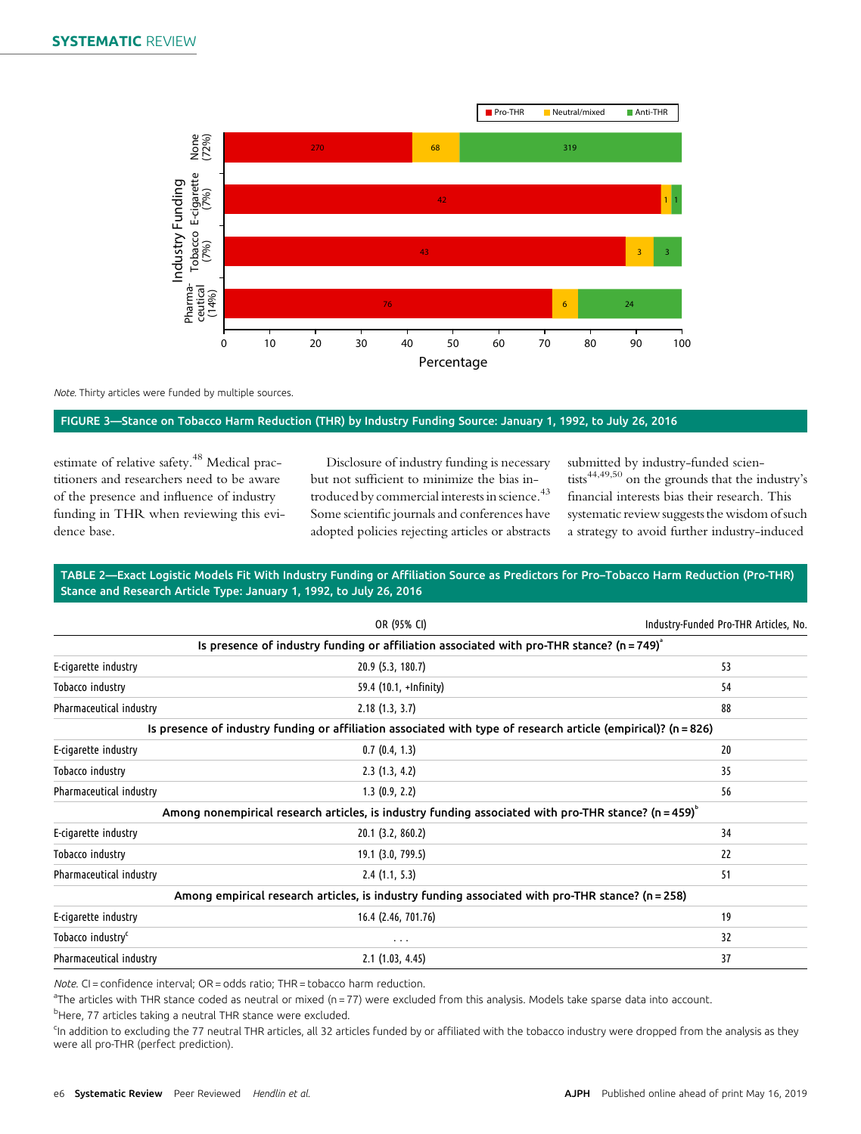

Note. Thirty articles were funded by multiple sources.

#### FIGURE 3—Stance on Tobacco Harm Reduction (THR) by Industry Funding Source: January 1, 1992, to July 26, 2016

estimate of relative safety.<sup>48</sup> Medical practitioners and researchers need to be aware of the presence and influence of industry funding in THR when reviewing this evidence base.

Disclosure of industry funding is necessary but not sufficient to minimize the bias introduced by commercial interests in science.<sup>43</sup> Some scientific journals and conferences have adopted policies rejecting articles or abstracts

submitted by industry-funded scientists44,49,50 on the grounds that the industry's financial interests bias their research. This systematic review suggests the wisdom of such a strategy to avoid further industry-induced

#### TABLE 2—Exact Logistic Models Fit With Industry Funding or Affiliation Source as Predictors for Pro–Tobacco Harm Reduction (Pro-THR) Stance and Research Article Type: January 1, 1992, to July 26, 2016

|                               | OR (95% CI)                                                                                                    |    |
|-------------------------------|----------------------------------------------------------------------------------------------------------------|----|
|                               | Is presence of industry funding or affiliation associated with pro-THR stance? ( $n = 749$ )                   |    |
| E-cigarette industry          | $20.9$ (5.3, 180.7)                                                                                            | 53 |
| Tobacco industry              | 59.4 (10.1, +Infinity)                                                                                         | 54 |
| Pharmaceutical industry       | 2.18(1.3, 3.7)                                                                                                 | 88 |
|                               | Is presence of industry funding or affiliation associated with type of research article (empirical)? (n = 826) |    |
| E-cigarette industry          | 0.7(0.4, 1.3)                                                                                                  | 20 |
| Tobacco industry              | 2.3(1.3, 4.2)                                                                                                  | 35 |
| Pharmaceutical industry       | 1.3(0.9, 2.2)                                                                                                  | 56 |
|                               | Among nonempirical research articles, is industry funding associated with pro-THR stance? ( $n = 459$ )        |    |
| E-cigarette industry          | 20.1 (3.2, 860.2)                                                                                              | 34 |
| Tobacco industry              | 19.1 (3.0, 799.5)                                                                                              | 22 |
| Pharmaceutical industry       | 2.4(1.1, 5.3)                                                                                                  | 51 |
|                               | Among empirical research articles, is industry funding associated with pro-THR stance? (n = 258)               |    |
| E-cigarette industry          | 16.4 (2.46, 701.76)                                                                                            | 19 |
| Tobacco industry <sup>c</sup> | $\cdots$                                                                                                       | 32 |
| Pharmaceutical industry       | $2.1$ (1.03, 4.45)                                                                                             | 37 |

Note. CI = confidence interval; OR = odds ratio; THR = tobacco harm reduction.

<sup>a</sup>The articles with THR stance coded as neutral or mixed (n = 77) were excluded from this analysis. Models take sparse data into account.

<sup>b</sup>Here, 77 articles taking a neutral THR stance were excluded.

<sup>c</sup>In addition to excluding the 77 neutral THR articles, all 32 articles funded by or affiliated with the tobacco industry were dropped from the analysis as they were all pro-THR (perfect prediction).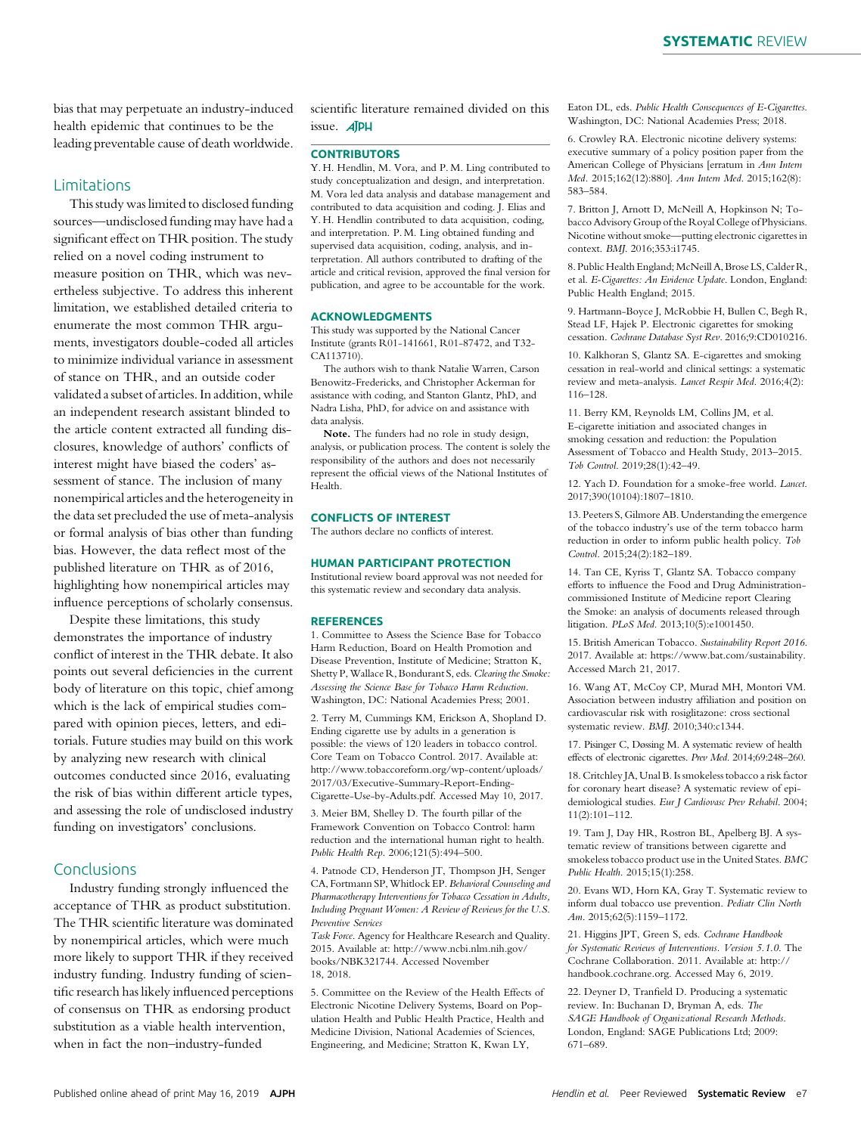bias that may perpetuate an industry-induced health epidemic that continues to be the leading preventable cause of death worldwide.

#### Limitations

This study was limited to disclosed funding sources—undisclosed funding may have had a significant effect on THR position. The study relied on a novel coding instrument to measure position on THR, which was nevertheless subjective. To address this inherent limitation, we established detailed criteria to enumerate the most common THR arguments, investigators double-coded all articles to minimize individual variance in assessment of stance on THR, and an outside coder validated a subset of articles. In addition, while an independent research assistant blinded to the article content extracted all funding disclosures, knowledge of authors' conflicts of interest might have biased the coders' assessment of stance. The inclusion of many nonempirical articles and the heterogeneity in the data set precluded the use of meta-analysis or formal analysis of bias other than funding bias. However, the data reflect most of the published literature on THR as of 2016, highlighting how nonempirical articles may influence perceptions of scholarly consensus.

Despite these limitations, this study demonstrates the importance of industry conflict of interest in the THR debate. It also points out several deficiencies in the current body of literature on this topic, chief among which is the lack of empirical studies compared with opinion pieces, letters, and editorials. Future studies may build on this work by analyzing new research with clinical outcomes conducted since 2016, evaluating the risk of bias within different article types, and assessing the role of undisclosed industry funding on investigators' conclusions.

# Conclusions

Industry funding strongly influenced the acceptance of THR as product substitution. The THR scientific literature was dominated by nonempirical articles, which were much more likely to support THR if they received industry funding. Industry funding of scientific research has likely influenced perceptions of consensus on THR as endorsing product substitution as a viable health intervention, when in fact the non–industry-funded

scientific literature remained divided on this issue. **AJPH** 

#### **CONTRIBUTORS**

Y. H. Hendlin, M. Vora, and P. M. Ling contributed to study conceptualization and design, and interpretation. M. Vora led data analysis and database management and contributed to data acquisition and coding. J. Elias and Y. H. Hendlin contributed to data acquisition, coding, and interpretation. P. M. Ling obtained funding and supervised data acquisition, coding, analysis, and interpretation. All authors contributed to drafting of the article and critical revision, approved the final version for publication, and agree to be accountable for the work.

#### ACKNOWLEDGMENTS

This study was supported by the National Cancer Institute (grants R01-141661, R01-87472, and T32- CA113710).

The authors wish to thank Natalie Warren, Carson Benowitz-Fredericks, and Christopher Ackerman for assistance with coding, and Stanton Glantz, PhD, and Nadra Lisha, PhD, for advice on and assistance with data analysis.

Note. The funders had no role in study design, analysis, or publication process. The content is solely the responsibility of the authors and does not necessarily represent the official views of the National Institutes of Health.

#### CONFLICTS OF INTEREST

The authors declare no conflicts of interest.

#### HUMAN PARTICIPANT PROTECTION

Institutional review board approval was not needed for this systematic review and secondary data analysis.

#### **REFERENCES**

1. Committee to Assess the Science Base for Tobacco Harm Reduction, Board on Health Promotion and Disease Prevention, Institute of Medicine; Stratton K, Shetty P, Wallace R, Bondurant S, eds. Clearing the Smoke: Assessing the Science Base for Tobacco Harm Reduction. Washington, DC: National Academies Press; 2001.

2. Terry M, Cummings KM, Erickson A, Shopland D. Ending cigarette use by adults in a generation is possible: the views of 120 leaders in tobacco control. Core Team on Tobacco Control. 2017. Available at: [http://www.tobaccoreform.org/wp-content/uploads/](http://www.tobaccoreform.org/wp-content/uploads/2017/03/Executive-Summary-Report-Ending-Cigarette-Use-by-Adults.pdf) [2017/03/Executive-Summary-Report-Ending-](http://www.tobaccoreform.org/wp-content/uploads/2017/03/Executive-Summary-Report-Ending-Cigarette-Use-by-Adults.pdf)[Cigarette-Use-by-Adults.pdf.](http://www.tobaccoreform.org/wp-content/uploads/2017/03/Executive-Summary-Report-Ending-Cigarette-Use-by-Adults.pdf) Accessed May 10, 2017.

3. Meier BM, Shelley D. The fourth pillar of the Framework Convention on Tobacco Control: harm reduction and the international human right to health. Public Health Rep. 2006;121(5):494–500.

4. Patnode CD, Henderson JT, Thompson JH, Senger CA, Fortmann SP,Whitlock EP. Behavioral Counseling and Pharmacotherapy Interventions for Tobacco Cessation in Adults, Including Pregnant Women: A Review of Reviews for the U.S. Preventive Services

Task Force. Agency for Healthcare Research and Quality. 2015. Available at: [http://www.ncbi.nlm.nih.gov/](http://www.ncbi.nlm.nih.gov/books/NBK321744) [books/NBK321744](http://www.ncbi.nlm.nih.gov/books/NBK321744). Accessed November 18, 2018.

5. Committee on the Review of the Health Effects of Electronic Nicotine Delivery Systems, Board on Population Health and Public Health Practice, Health and Medicine Division, National Academies of Sciences, Engineering, and Medicine; Stratton K, Kwan LY,

Eaton DL, eds. Public Health Consequences of E-Cigarettes. Washington, DC: National Academies Press; 2018.

6. Crowley RA. Electronic nicotine delivery systems: executive summary of a policy position paper from the American College of Physicians [erratum in Ann Intern Med. 2015;162(12):880]. Ann Intern Med. 2015;162(8): 583–584.

7. Britton J, Arnott D, McNeill A, Hopkinson N; Tobacco Advisory Group of the Royal College of Physicians. Nicotine without smoke—putting electronic cigarettes in context. BMJ. 2016;353:i1745.

8. Public Health England; McNeill A, Brose LS, Calder R, et al. E-Cigarettes: An Evidence Update. London, England: Public Health England; 2015.

9. Hartmann-Boyce J, McRobbie H, Bullen C, Begh R, Stead LF, Hajek P. Electronic cigarettes for smoking cessation. Cochrane Database Syst Rev. 2016;9:CD010216.

10. Kalkhoran S, Glantz SA. E-cigarettes and smoking cessation in real-world and clinical settings: a systematic review and meta-analysis. Lancet Respir Med. 2016;4(2): 116–128.

11. Berry KM, Reynolds LM, Collins JM, et al. E-cigarette initiation and associated changes in smoking cessation and reduction: the Population Assessment of Tobacco and Health Study, 2013–2015. Tob Control. 2019;28(1):42–49.

12. Yach D. Foundation for a smoke-free world. Lancet. 2017;390(10104):1807–1810.

13. Peeters S, Gilmore AB. Understanding the emergence of the tobacco industry's use of the term tobacco harm reduction in order to inform public health policy. Tob Control. 2015;24(2):182–189.

14. Tan CE, Kyriss T, Glantz SA. Tobacco company efforts to influence the Food and Drug Administrationcommissioned Institute of Medicine report Clearing the Smoke: an analysis of documents released through litigation. PLoS Med. 2013;10(5):e1001450.

15. British American Tobacco. Sustainability Report 2016. 2017. Available at: [https://www.bat.com/sustainability.](https://www.bat.com/sustainability) Accessed March 21, 2017.

16. Wang AT, McCoy CP, Murad MH, Montori VM. Association between industry affiliation and position on cardiovascular risk with rosiglitazone: cross sectional systematic review. BMJ. 2010;340:c1344.

17. Pisinger C, Døssing M. A systematic review of health effects of electronic cigarettes. Prev Med. 2014;69:248–260.

18. Critchley JA, Unal B. Is smokeless tobacco a risk factor for coronary heart disease? A systematic review of epidemiological studies. Eur J Cardiovasc Prev Rehabil. 2004; 11(2):101–112.

19. Tam J, Day HR, Rostron BL, Apelberg BJ. A systematic review of transitions between cigarette and smokeless tobacco product use in the United States. BMC Public Health. 2015;15(1):258.

20. Evans WD, Horn KA, Gray T. Systematic review to inform dual tobacco use prevention. Pediatr Clin North Am. 2015;62(5):1159–1172.

21. Higgins JPT, Green S, eds. Cochrane Handbook for Systematic Reviews of Interventions. Version 5.1.0. The Cochrane Collaboration. 2011. Available at: [http://](http://handbook.cochrane.org) [handbook.cochrane.org.](http://handbook.cochrane.org) Accessed May 6, 2019.

22. Deyner D, Tranfield D. Producing a systematic review. In: Buchanan D, Bryman A, eds. The SAGE Handbook of Organizational Research Methods. London, England: SAGE Publications Ltd; 2009: 671–689.